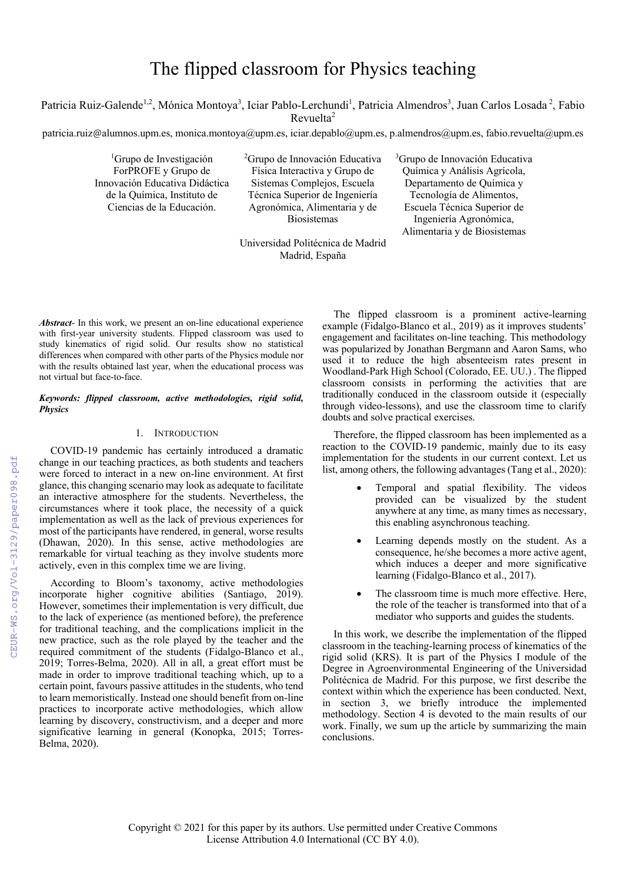# The flipped classroom for Physics teaching

Patricia Ruiz-Galende<sup>1,2</sup>, Mónica Montoya<sup>3</sup>, Iciar Pablo-Lerchundi<sup>1</sup>, Patricia Almendros<sup>3</sup>, Juan Carlos Losada<sup>2</sup>, Fabio Revuelta<sup>2</sup>

patricia.ruiz@alumnos.upm.es, monica.montoya@upm.es, iciar.depablo@upm.es, p.almendros@upm.es, fabio.revuelta@upm.es

<sup>1</sup>Grupo de Investigación ForPROFE y Grupo de Innovación Educativa Didáctica de la Química, Instituto de Ciencias de la Educación.

<sup>2</sup> Grupo de Innovación Educativa Física Interactiva y Grupo de Sistemas Complejos, Escuela Técnica Superior de Ingeniería Agronómica, Alimentaria y de Biosistemas

3 Grupo de Innovación Educativa Química y Análisis Agrícola, Departamento de Química y Tecnología de Alimentos, Escuela Técnica Superior de Ingeniería Agronómica, Alimentaria y de Biosistemas

Universidad Politécnica de Madrid Madrid, España

*Abstract*- In this work, we present an on-line educational experience with first-year university students. Flipped classroom was used to study kinematics of rigid solid. Our results show no statistical differences when compared with other parts of the Physics module nor with the results obtained last year, when the educational process was not virtual but face-to-face.

## *Keywords: flipped classroom, active methodologies, rigid solid, Physics*

## 1. INTRODUCTION

COVID-19 pandemic has certainly introduced a dramatic change in our teaching practices, as both students and teachers were forced to interact in a new on-line environment. At first glance, this changing scenario may look as adequate to facilitate an interactive atmosphere for the students. Nevertheless, the circumstances where it took place, the necessity of a quick implementation as well as the lack of previous experiences for most of the participants have rendered, in general, worse results (Dhawan, 2020). In this sense, active methodologies are remarkable for virtual teaching as they involve students more actively, even in this complex time we are living.

According to Bloom's taxonomy, active methodologies incorporate higher cognitive abilities (Santiago, 2019). However, sometimes their implementation is very difficult, due to the lack of experience (as mentioned before), the preference for traditional teaching, and the complications implicit in the new practice, such as the role played by the teacher and the required commitment of the students (Fidalgo-Blanco et al., 2019; Torres-Belma, 2020). All in all, a great effort must be made in order to improve traditional teaching which, up to a certain point, favours passive attitudes in the students, who tend to learn memoristically. Instead one should benefit from on-line practices to incorporate active methodologies, which allow learning by discovery, constructivism, and a deeper and more significative learning in general (Konopka, 2015; Torres-Belma, 2020).

The flipped classroom is a prominent active-learning example (Fidalgo-Blanco et al., 2019) as it improves students' engagement and facilitates on-line teaching. This methodology was popularized by Jonathan Bergmann and Aaron Sams, who used it to reduce the high absenteeism rates present in Woodland-Park High School (Colorado, EE. UU.) . The flipped classroom consists in performing the activities that are traditionally conduced in the classroom outside it (especially through video-lessons), and use the classroom time to clarify doubts and solve practical exercises.

Therefore, the flipped classroom has been implemented as a reaction to the COVID-19 pandemic, mainly due to its easy implementation for the students in our current context. Let us list, among others, the following advantages (Tang et al., 2020):

- Temporal and spatial flexibility. The videos provided can be visualized by the student anywhere at any time, as many times as necessary, this enabling asynchronous teaching.
- Learning depends mostly on the student. As a consequence, he/she becomes a more active agent, which induces a deeper and more significative learning (Fidalgo-Blanco et al., 2017).
- The classroom time is much more effective. Here, the role of the teacher is transformed into that of a mediator who supports and guides the students.

In this work, we describe the implementation of the flipped classroom in the teaching-learning process of kinematics of the rigid solid (KRS). It is part of the Physics I module of the Degree in Agroenvironmental Engineering of the Universidad Politécnica de Madrid. For this purpose, we first describe the context within which the experience has been conducted. Next, in section 3, we briefly introduce the implemented methodology. Section 4 is devoted to the main results of our work. Finally, we sum up the article by summarizing the main conclusions.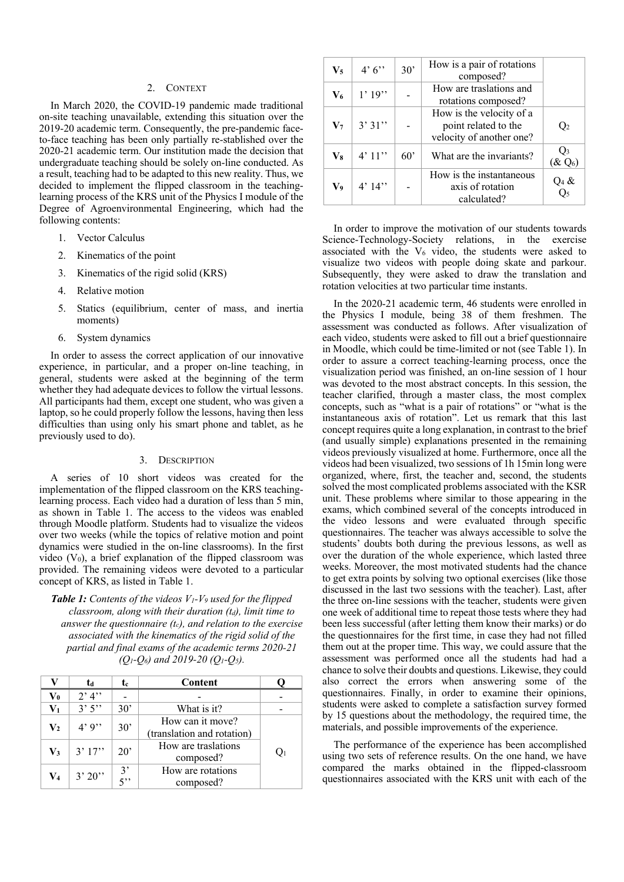## 2. CONTEXT

In March 2020, the COVID-19 pandemic made traditional on-site teaching unavailable, extending this situation over the 2019-20 academic term. Consequently, the pre-pandemic faceto-face teaching has been only partially re-stablished over the 2020-21 academic term. Our institution made the decision that undergraduate teaching should be solely on-line conducted. As a result, teaching had to be adapted to this new reality. Thus, we decided to implement the flipped classroom in the teachinglearning process of the KRS unit of the Physics I module of the Degree of Agroenvironmental Engineering, which had the following contents:

- 1. Vector Calculus
- 2. Kinematics of the point
- 3. Kinematics of the rigid solid (KRS)
- 4. Relative motion
- 5. Statics (equilibrium, center of mass, and inertia moments)
- 6. System dynamics

In order to assess the correct application of our innovative experience, in particular, and a proper on-line teaching, in general, students were asked at the beginning of the term whether they had adequate devices to follow the virtual lessons. All participants had them, except one student, who was given a laptop, so he could properly follow the lessons, having then less difficulties than using only his smart phone and tablet, as he previously used to do).

#### 3. DESCRIPTION

A series of 10 short videos was created for the implementation of the flipped classroom on the KRS teachinglearning process. Each video had a duration of less than 5 min, as shown in Table 1. The access to the videos was enabled through Moodle platform. Students had to visualize the videos over two weeks (while the topics of relative motion and point dynamics were studied in the on-line classrooms). In the first video  $(V_0)$ , a brief explanation of the flipped classroom was provided. The remaining videos were devoted to a particular concept of KRS, as listed in Table 1.

*Table 1: Contents of the videos V1-V9 used for the flipped classroom, along with their duration (t<sub>d</sub>), limit time to answer the questionnaire (tc), and relation to the exercise associated with the kinematics of the rigid solid of the partial and final exams of the academic terms 2020-21 (Q1-Q6) and 2019-20 (Q1-Q5).*

|                | ta      | tc                             | Content                                        |  |
|----------------|---------|--------------------------------|------------------------------------------------|--|
| $\bf{V}_0$     | $2'$ 4" |                                |                                                |  |
| V <sub>1</sub> | 3'5''   | $30^{\circ}$                   | What is it?                                    |  |
| $\mathbf{V}_2$ | 4'9'    | 30'                            | How can it move?<br>(translation and rotation) |  |
| $\mathbf{V}_3$ | 3'17''  | $20^{\circ}$                   | How are traslations<br>composed?               |  |
| V4             | 3'20'   | 3'<br>$\overline{\phantom{a}}$ | How are rotations<br>composed?                 |  |

| $V_5$          | 4'6'     | 30'          | How is a pair of rotations<br>composed?                                      |                                 |
|----------------|----------|--------------|------------------------------------------------------------------------------|---------------------------------|
| $V_6$          | $1'$ 19" |              | How are traslations and<br>rotations composed?                               |                                 |
| V <sub>7</sub> | 3'31''   |              | How is the velocity of a<br>point related to the<br>velocity of another one? | Q <sub>2</sub>                  |
| V8             | 4'11''   | $60^{\circ}$ | What are the invariants?                                                     | Q <sub>3</sub><br>$(\& \, Q_6)$ |
| V9             | 4'14''   |              | How is the instantaneous<br>axis of rotation<br>calculated?                  | $Q_4 &$<br>$Q_5$                |

In order to improve the motivation of our students towards Science-Technology-Society relations, in the exercise associated with the  $V_6$  video, the students were asked to visualize two videos with people doing skate and parkour. Subsequently, they were asked to draw the translation and rotation velocities at two particular time instants.

In the 2020-21 academic term, 46 students were enrolled in the Physics I module, being 38 of them freshmen. The assessment was conducted as follows. After visualization of each video, students were asked to fill out a brief questionnaire in Moodle, which could be time-limited or not (see Table 1). In order to assure a correct teaching-learning process, once the visualization period was finished, an on-line session of 1 hour was devoted to the most abstract concepts. In this session, the teacher clarified, through a master class, the most complex concepts, such as "what is a pair of rotations" or "what is the instantaneous axis of rotation". Let us remark that this last concept requires quite a long explanation, in contrast to the brief (and usually simple) explanations presented in the remaining videos previously visualized at home. Furthermore, once all the videos had been visualized, two sessions of 1h 15min long were organized, where, first, the teacher and, second, the students solved the most complicated problems associated with the KSR unit. These problems where similar to those appearing in the exams, which combined several of the concepts introduced in the video lessons and were evaluated through specific questionnaires. The teacher was always accessible to solve the students' doubts both during the previous lessons, as well as over the duration of the whole experience, which lasted three weeks. Moreover, the most motivated students had the chance to get extra points by solving two optional exercises (like those discussed in the last two sessions with the teacher). Last, after the three on-line sessions with the teacher, students were given one week of additional time to repeat those tests where they had been less successful (after letting them know their marks) or do the questionnaires for the first time, in case they had not filled them out at the proper time. This way, we could assure that the assessment was performed once all the students had had a chance to solve their doubts and questions. Likewise, they could also correct the errors when answering some of the questionnaires. Finally, in order to examine their opinions, students were asked to complete a satisfaction survey formed by 15 questions about the methodology, the required time, the materials, and possible improvements of the experience.

The performance of the experience has been accomplished using two sets of reference results. On the one hand, we have compared the marks obtained in the flipped-classroom questionnaires associated with the KRS unit with each of the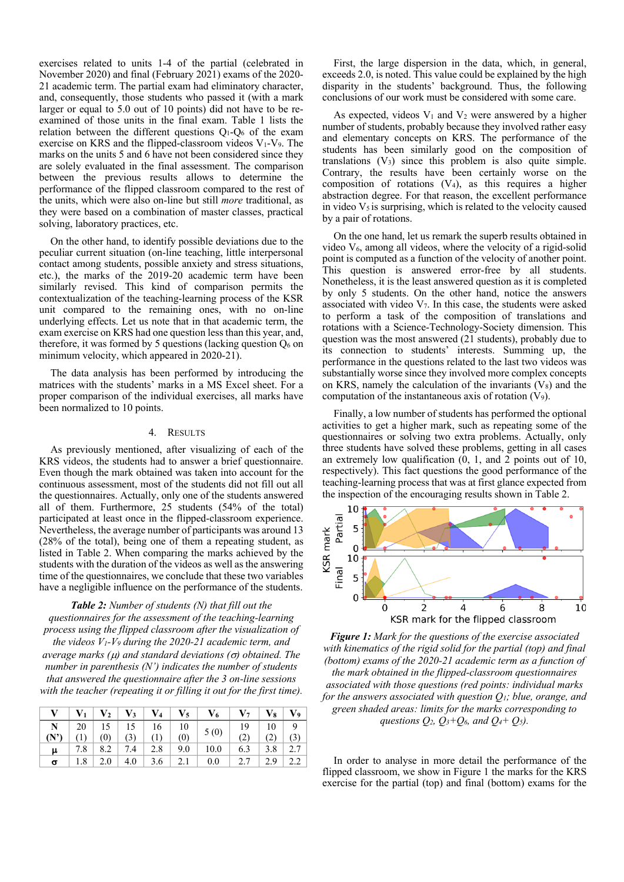exercises related to units 1-4 of the partial (celebrated in November 2020) and final (February 2021) exams of the 2020- 21 academic term. The partial exam had eliminatory character, and, consequently, those students who passed it (with a mark larger or equal to 5.0 out of 10 points) did not have to be reexamined of those units in the final exam. Table 1 lists the relation between the different questions  $Q_1-Q_6$  of the exam exercise on KRS and the flipped-classroom videos  $V_1$ - $V_9$ . The marks on the units 5 and 6 have not been considered since they are solely evaluated in the final assessment. The comparison between the previous results allows to determine the performance of the flipped classroom compared to the rest of the units, which were also on-line but still *more* traditional, as they were based on a combination of master classes, practical solving, laboratory practices, etc.

On the other hand, to identify possible deviations due to the peculiar current situation (on-line teaching, little interpersonal contact among students, possible anxiety and stress situations, etc.), the marks of the 2019-20 academic term have been similarly revised. This kind of comparison permits the contextualization of the teaching-learning process of the KSR unit compared to the remaining ones, with no on-line underlying effects. Let us note that in that academic term, the exam exercise on KRS had one question less than this year, and, therefore, it was formed by 5 questions (lacking question  $Q_6$  on minimum velocity, which appeared in 2020-21).

The data analysis has been performed by introducing the matrices with the students' marks in a MS Excel sheet. For a proper comparison of the individual exercises, all marks have been normalized to 10 points.

## 4. RESULTS

As previously mentioned, after visualizing of each of the KRS videos, the students had to answer a brief questionnaire. Even though the mark obtained was taken into account for the continuous assessment, most of the students did not fill out all the questionnaires. Actually, only one of the students answered all of them. Furthermore, 25 students (54% of the total) participated at least once in the flipped-classroom experience. Nevertheless, the average number of participants was around 13 (28% of the total), being one of them a repeating student, as listed in Table 2. When comparing the marks achieved by the students with the duration of the videos as well as the answering time of the questionnaires, we conclude that these two variables have a negligible influence on the performance of the students.

*Table 2: Number of students (N) that fill out the questionnaires for the assessment of the teaching-learning process using the flipped classroom after the visualization of the videos V1-V9 during the 2020-21 academic term, and average marks (* $\mu$ *) and standard deviations (* $\sigma$ *) obtained. The number in parenthesis (N') indicates the number of students that answered the questionnaire after the 3 on-line sessions with the teacher (repeating it or filling it out for the first time).*

|          |  |  |                                                                                                                                                               | $V$   $V_1$   $V_2$   $V_3$   $V_4$   $V_5$   $V_6$   $V_7$   $V_8$   $V_9$ |                                                                 |         |  |
|----------|--|--|---------------------------------------------------------------------------------------------------------------------------------------------------------------|-----------------------------------------------------------------------------|-----------------------------------------------------------------|---------|--|
|          |  |  | $\begin{tabular}{ c c c c c c c c } \hline \textbf{N} & 20 & 15 & 15 & 16 & 10 \\ \hline \textbf{(N')} & (1) & (0) & (3) & (1) & (0) \\ \hline \end{tabular}$ | $\Big  5(0) \Big $                                                          |                                                                 |         |  |
|          |  |  |                                                                                                                                                               |                                                                             | $\begin{array}{c c} 19 & 10 & 9 \\ (2) & (2) & (3) \end{array}$ |         |  |
| $\mu$    |  |  |                                                                                                                                                               | 7.8   8.2   7.4   2.8   9.0   10.0   6.3                                    |                                                                 | 3.8 2.7 |  |
| $\sigma$ |  |  |                                                                                                                                                               | $2.0$   4.0   3.6   2.1   0.0                                               | 2.7   2.9   2.2                                                 |         |  |

First, the large dispersion in the data, which, in general, exceeds 2.0, is noted. This value could be explained by the high disparity in the students' background. Thus, the following conclusions of our work must be considered with some care.

As expected, videos  $V_1$  and  $V_2$  were answered by a higher number of students, probably because they involved rather easy and elementary concepts on KRS. The performance of the students has been similarly good on the composition of translations  $(V_3)$  since this problem is also quite simple. Contrary, the results have been certainly worse on the composition of rotations  $(V_4)$ , as this requires a higher abstraction degree. For that reason, the excellent performance in video  $V_5$  is surprising, which is related to the velocity caused by a pair of rotations.

On the one hand, let us remark the superb results obtained in video V6, among all videos, where the velocity of a rigid-solid point is computed as a function of the velocity of another point. This question is answered error-free by all students. Nonetheless, it is the least answered question as it is completed by only 5 students. On the other hand, notice the answers associated with video  $V_7$ . In this case, the students were asked to perform a task of the composition of translations and rotations with a Science-Technology-Society dimension. This question was the most answered (21 students), probably due to its connection to students' interests. Summing up, the performance in the questions related to the last two videos was substantially worse since they involved more complex concepts on KRS, namely the calculation of the invariants  $(V_8)$  and the computation of the instantaneous axis of rotation  $(V_9)$ .

Finally, a low number of students has performed the optional activities to get a higher mark, such as repeating some of the questionnaires or solving two extra problems. Actually, only three students have solved these problems, getting in all cases an extremely low qualification (0, 1, and 2 points out of 10, respectively). This fact questions the good performance of the teaching-learning process that was at first glance expected from the inspection of the encouraging results shown in Table 2.



*Figure 1: Mark for the questions of the exercise associated with kinematics of the rigid solid for the partial (top) and final (bottom) exams of the 2020-21 academic term as a function of the mark obtained in the flipped-classroom questionnaires associated with those questions (red points: individual marks for the answers associated with question Q1; blue, orange, and green shaded areas: limits for the marks corresponding to questions Q2, Q3+Q6, and Q4+ Q5).*

In order to analyse in more detail the performance of the flipped classroom, we show in Figure 1 the marks for the KRS exercise for the partial (top) and final (bottom) exams for the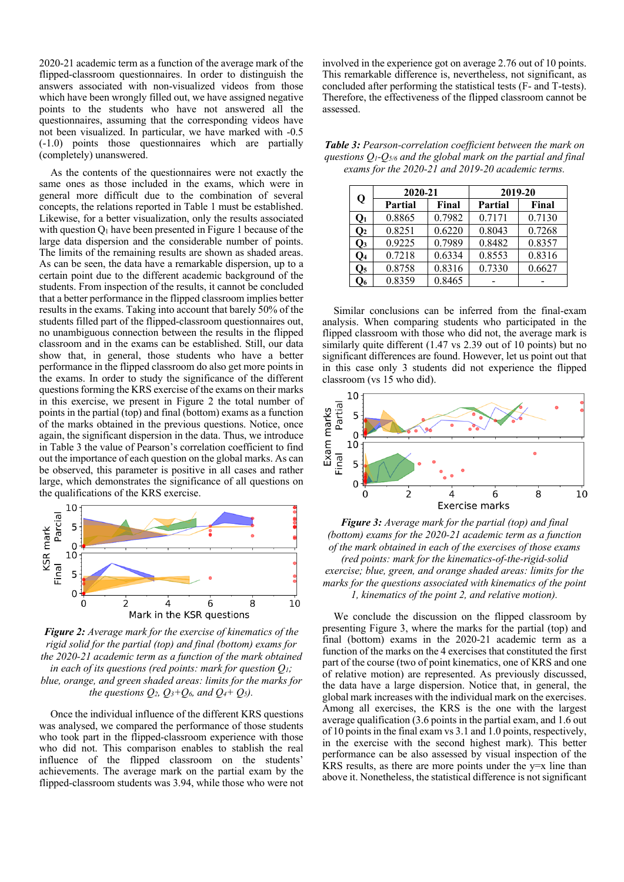2020-21 academic term as a function of the average mark of the flipped-classroom questionnaires. In order to distinguish the answers associated with non-visualized videos from those which have been wrongly filled out, we have assigned negative points to the students who have not answered all the questionnaires, assuming that the corresponding videos have not been visualized. In particular, we have marked with -0.5 (-1.0) points those questionnaires which are partially (completely) unanswered.

As the contents of the questionnaires were not exactly the same ones as those included in the exams, which were in general more difficult due to the combination of several concepts, the relations reported in Table 1 must be established. Likewise, for a better visualization, only the results associated with question  $Q_1$  have been presented in Figure 1 because of the large data dispersion and the considerable number of points. The limits of the remaining results are shown as shaded areas. As can be seen, the data have a remarkable dispersion, up to a certain point due to the different academic background of the students. From inspection of the results, it cannot be concluded that a better performance in the flipped classroom implies better results in the exams. Taking into account that barely 50% of the students filled part of the flipped-classroom questionnaires out, no unambiguous connection between the results in the flipped classroom and in the exams can be established. Still, our data show that, in general, those students who have a better performance in the flipped classroom do also get more points in the exams. In order to study the significance of the different questions forming the KRS exercise of the exams on their marks in this exercise, we present in Figure 2 the total number of points in the partial (top) and final (bottom) exams as a function of the marks obtained in the previous questions. Notice, once again, the significant dispersion in the data. Thus, we introduce in Table 3 the value of Pearson's correlation coefficient to find out the importance of each question on the global marks. As can be observed, this parameter is positive in all cases and rather large, which demonstrates the significance of all questions on the qualifications of the KRS exercise.



*Figure 2: Average mark for the exercise of kinematics of the rigid solid for the partial (top) and final (bottom) exams for the 2020-21 academic term as a function of the mark obtained in each of its questions (red points: mark for question Q1; blue, orange, and green shaded areas: limits for the marks for the questions*  $Q_2$ *,*  $Q_3+Q_6$ *, and*  $Q_4+Q_5$ *.* 

Once the individual influence of the different KRS questions was analysed, we compared the performance of those students who took part in the flipped-classroom experience with those who did not. This comparison enables to stablish the real influence of the flipped classroom on the students' achievements. The average mark on the partial exam by the flipped-classroom students was 3.94, while those who were not involved in the experience got on average 2.76 out of 10 points. This remarkable difference is, nevertheless, not significant, as concluded after performing the statistical tests (F- and T-tests). Therefore, the effectiveness of the flipped classroom cannot be assessed.

| <b>Table 3:</b> Pearson-correlation coefficient between the mark on      |
|--------------------------------------------------------------------------|
| questions $Q_1$ - $Q_{5/6}$ and the global mark on the partial and final |
| exams for the 2020-21 and 2019-20 academic terms.                        |

| Q              | 2020-21 |        | 2019-20        |        |  |
|----------------|---------|--------|----------------|--------|--|
|                | Partial | Final  | <b>Partial</b> | Final  |  |
| $Q_1$          | 0.8865  | 0.7982 | 0.7171         | 0.7130 |  |
| $\mathbf{O}_2$ | 0.8251  | 0.6220 | 0.8043         | 0.7268 |  |
| $\mathbf{Q}_3$ | 0.9225  | 0.7989 | 0.8482         | 0.8357 |  |
| $\mathbf{O}_4$ | 0.7218  | 0.6334 | 0.8553         | 0.8316 |  |
| $\mathbf{Q}_5$ | 0.8758  | 0.8316 | 0.7330         | 0.6627 |  |
| O6             | 0.8359  | 0.8465 |                |        |  |

Similar conclusions can be inferred from the final-exam analysis. When comparing students who participated in the flipped classroom with those who did not, the average mark is similarly quite different (1.47 vs 2.39 out of 10 points) but no significant differences are found. However, let us point out that in this case only 3 students did not experience the flipped classroom (vs 15 who did).



*Figure 3: Average mark for the partial (top) and final (bottom) exams for the 2020-21 academic term as a function of the mark obtained in each of the exercises of those exams (red points: mark for the kinematics-of-the-rigid-solid exercise; blue, green, and orange shaded areas: limits for the marks for the questions associated with kinematics of the point 1, kinematics of the point 2, and relative motion).*

We conclude the discussion on the flipped classroom by presenting Figure 3, where the marks for the partial (top) and final (bottom) exams in the 2020-21 academic term as a function of the marks on the 4 exercises that constituted the first part of the course (two of point kinematics, one of KRS and one of relative motion) are represented. As previously discussed, the data have a large dispersion. Notice that, in general, the global mark increases with the individual mark on the exercises. Among all exercises, the KRS is the one with the largest average qualification (3.6 points in the partial exam, and 1.6 out of 10 points in the final exam vs 3.1 and 1.0 points, respectively, in the exercise with the second highest mark). This better performance can be also assessed by visual inspection of the KRS results, as there are more points under the  $y=x$  line than above it. Nonetheless, the statistical difference is not significant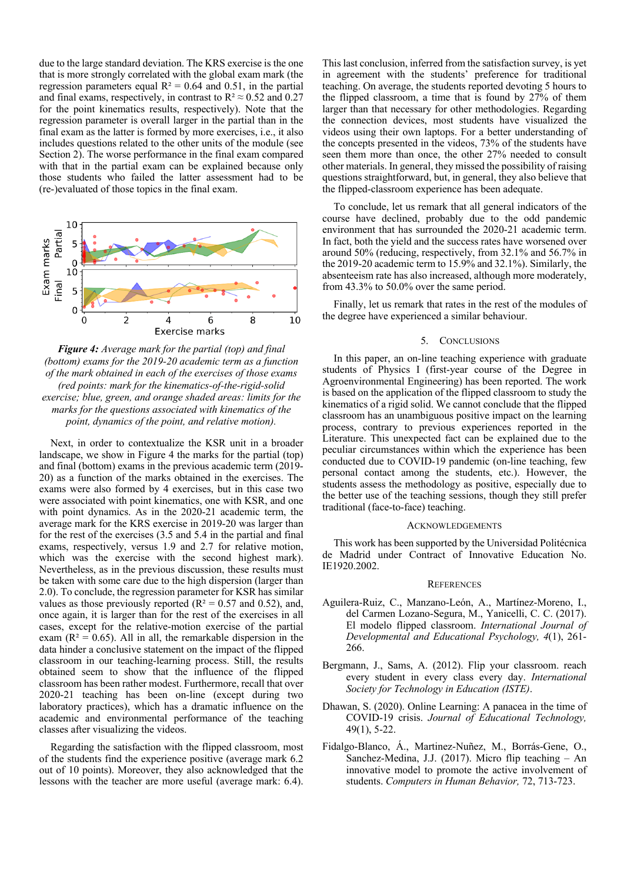due to the large standard deviation. The KRS exercise is the one that is more strongly correlated with the global exam mark (the regression parameters equal  $R^2 = 0.64$  and 0.51, in the partial and final exams, respectively, in contrast to  $R^2 \approx 0.52$  and 0.27 for the point kinematics results, respectively). Note that the regression parameter is overall larger in the partial than in the final exam as the latter is formed by more exercises, i.e., it also includes questions related to the other units of the module (see Section 2). The worse performance in the final exam compared with that in the partial exam can be explained because only those students who failed the latter assessment had to be (re-)evaluated of those topics in the final exam.



*Figure 4: Average mark for the partial (top) and final (bottom) exams for the 2019-20 academic term as a function of the mark obtained in each of the exercises of those exams (red points: mark for the kinematics-of-the-rigid-solid exercise; blue, green, and orange shaded areas: limits for the marks for the questions associated with kinematics of the point, dynamics of the point, and relative motion).*

Next, in order to contextualize the KSR unit in a broader landscape, we show in Figure 4 the marks for the partial (top) and final (bottom) exams in the previous academic term (2019- 20) as a function of the marks obtained in the exercises. The exams were also formed by 4 exercises, but in this case two were associated with point kinematics, one with KSR, and one with point dynamics. As in the 2020-21 academic term, the average mark for the KRS exercise in 2019-20 was larger than for the rest of the exercises (3.5 and 5.4 in the partial and final exams, respectively, versus 1.9 and 2.7 for relative motion, which was the exercise with the second highest mark). Nevertheless, as in the previous discussion, these results must be taken with some care due to the high dispersion (larger than 2.0). To conclude, the regression parameter for KSR has similar values as those previously reported ( $R^2 = 0.57$  and 0.52), and, once again, it is larger than for the rest of the exercises in all cases, except for the relative-motion exercise of the partial exam ( $R^2 = 0.65$ ). All in all, the remarkable dispersion in the data hinder a conclusive statement on the impact of the flipped classroom in our teaching-learning process. Still, the results obtained seem to show that the influence of the flipped classroom has been rather modest. Furthermore, recall that over 2020-21 teaching has been on-line (except during two laboratory practices), which has a dramatic influence on the academic and environmental performance of the teaching classes after visualizing the videos.

Regarding the satisfaction with the flipped classroom, most of the students find the experience positive (average mark 6.2 out of 10 points). Moreover, they also acknowledged that the lessons with the teacher are more useful (average mark: 6.4).

This last conclusion, inferred from the satisfaction survey, is yet in agreement with the students' preference for traditional teaching. On average, the students reported devoting 5 hours to the flipped classroom, a time that is found by  $27\%$  of them larger than that necessary for other methodologies. Regarding the connection devices, most students have visualized the videos using their own laptops. For a better understanding of the concepts presented in the videos, 73% of the students have seen them more than once, the other 27% needed to consult other materials. In general, they missed the possibility of raising questions straightforward, but, in general, they also believe that the flipped-classroom experience has been adequate.

To conclude, let us remark that all general indicators of the course have declined, probably due to the odd pandemic environment that has surrounded the 2020-21 academic term. In fact, both the yield and the success rates have worsened over around 50% (reducing, respectively, from 32.1% and 56.7% in the 2019-20 academic term to 15.9% and 32.1%). Similarly, the absenteeism rate has also increased, although more moderately, from 43.3% to 50.0% over the same period.

Finally, let us remark that rates in the rest of the modules of the degree have experienced a similar behaviour.

## 5. CONCLUSIONS

In this paper, an on-line teaching experience with graduate students of Physics I (first-year course of the Degree in Agroenvironmental Engineering) has been reported. The work is based on the application of the flipped classroom to study the kinematics of a rigid solid. We cannot conclude that the flipped classroom has an unambiguous positive impact on the learning process, contrary to previous experiences reported in the Literature. This unexpected fact can be explained due to the peculiar circumstances within which the experience has been conducted due to COVID-19 pandemic (on-line teaching, few personal contact among the students, etc.). However, the students assess the methodology as positive, especially due to the better use of the teaching sessions, though they still prefer traditional (face-to-face) teaching.

## ACKNOWLEDGEMENTS

This work has been supported by the Universidad Politécnica de Madrid under Contract of Innovative Education No. IE1920.2002.

## **REFERENCES**

- Aguilera-Ruiz, C., Manzano-León, A., Martínez-Moreno, I., del Carmen Lozano-Segura, M., Yanicelli, C. C. (2017). El modelo flipped classroom. *International Journal of Developmental and Educational Psychology, 4*(1), 261- 266.
- Bergmann, J., Sams, A. (2012). Flip your classroom. reach every student in every class every day. *International Society for Technology in Education (ISTE)*.
- Dhawan, S. (2020). Online Learning: A panacea in the time of COVID-19 crisis. *Journal of Educational Technology,*  49(1), 5-22.
- Fidalgo-Blanco, Á., Martinez-Nuñez, M., Borrás-Gene, O., Sanchez-Medina, J.J. (2017). Micro flip teaching  $-$  An innovative model to promote the active involvement of students. *Computers in Human Behavior,* 72, 713-723.